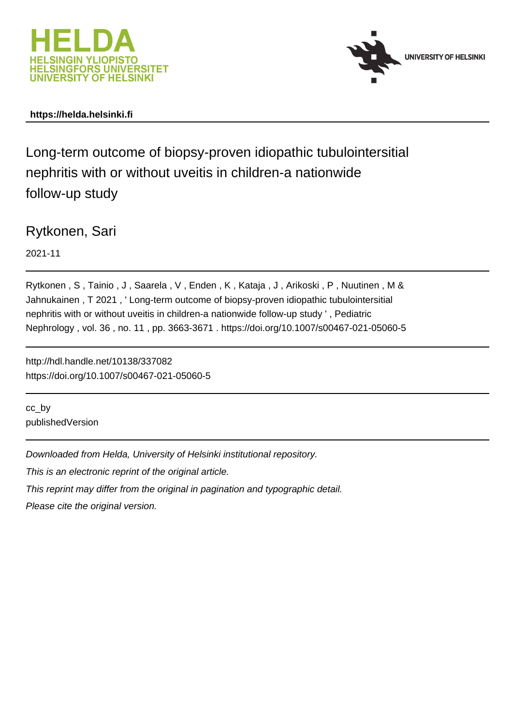



## **https://helda.helsinki.fi**

Long-term outcome of biopsy-proven idiopathic tubulointersitial nephritis with or without uveitis in children-a nationwide follow-up study

Rytkonen, Sari

2021-11

Rytkonen , S , Tainio , J , Saarela , V , Enden , K , Kataja , J , Arikoski , P , Nuutinen , M & Jahnukainen , T 2021 , ' Long-term outcome of biopsy-proven idiopathic tubulointersitial nephritis with or without uveitis in children-a nationwide follow-up study ' , Pediatric Nephrology , vol. 36 , no. 11 , pp. 3663-3671 . https://doi.org/10.1007/s00467-021-05060-5

http://hdl.handle.net/10138/337082 https://doi.org/10.1007/s00467-021-05060-5

cc\_by publishedVersion

Downloaded from Helda, University of Helsinki institutional repository.

This is an electronic reprint of the original article.

This reprint may differ from the original in pagination and typographic detail.

Please cite the original version.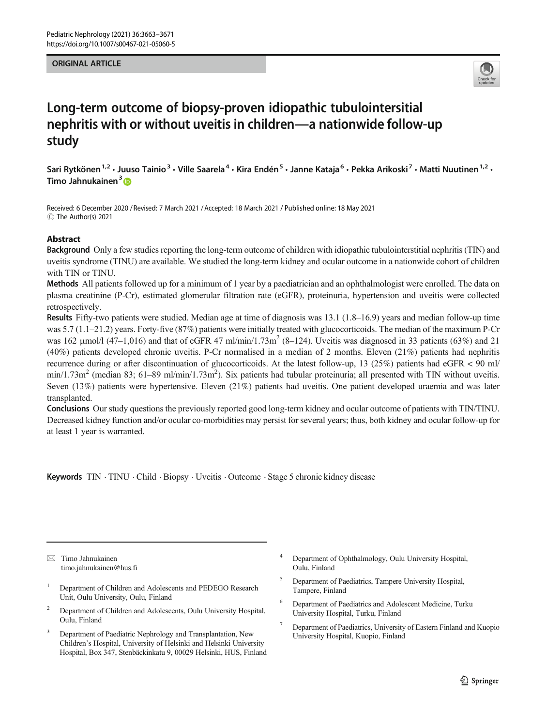#### ORIGINAL ARTICLE



# Long-term outcome of biopsy-proven idiopathic tubulointersitial nephritis with or without uveitis in children—a nationwide follow-up study

Sari Rytkönen<sup>1,2</sup> • Juuso Tainio<sup>3</sup> • Ville Saarela<sup>4</sup> • Kira Endén<sup>5</sup> • Janne Kataja<sup>6</sup> • Pekka Arikoski<sup>7</sup> • Matti Nuutinen<sup>1,2</sup> • Timo Jahnukainen<sup>3</sup>

Received: 6 December 2020 / Revised: 7 March 2021 /Accepted: 18 March 2021 / Published online: 18 May 2021  $\circledcirc$  The Author(s) 2021

### Abstract

Background Only a few studies reporting the long-term outcome of children with idiopathic tubulointerstitial nephritis (TIN) and uveitis syndrome (TINU) are available. We studied the long-term kidney and ocular outcome in a nationwide cohort of children with TIN or TINU.

Methods All patients followed up for a minimum of 1 year by a paediatrician and an ophthalmologist were enrolled. The data on plasma creatinine (P-Cr), estimated glomerular filtration rate (eGFR), proteinuria, hypertension and uveitis were collected retrospectively.

Results Fifty-two patients were studied. Median age at time of diagnosis was 13.1 (1.8–16.9) years and median follow-up time was 5.7 (1.1–21.2) years. Forty-five (87%) patients were initially treated with glucocorticoids. The median of the maximum P-Cr was 162  $\mu$ mol/l (47–1,016) and that of eGFR 47 ml/min/1.73m<sup>2</sup> (8–124). Uveitis was diagnosed in 33 patients (63%) and 21 (40%) patients developed chronic uveitis. P-Cr normalised in a median of 2 months. Eleven (21%) patients had nephritis recurrence during or after discontinuation of glucocorticoids. At the latest follow-up, 13 (25%) patients had eGFR < 90 ml/  $min/1.73m^2$  (median 83; 61–89 ml/min/1.73m<sup>2</sup>). Six patients had tubular proteinuria; all presented with TIN without uveitis. Seven (13%) patients were hypertensive. Eleven (21%) patients had uveitis. One patient developed uraemia and was later transplanted.

Conclusions Our study questions the previously reported good long-term kidney and ocular outcome of patients with TIN/TINU. Decreased kidney function and/or ocular co-morbidities may persist for several years; thus, both kidney and ocular follow-up for at least 1 year is warranted.

Keywords TIN . TINU . Child . Biopsy . Uveitis . Outcome . Stage 5 chronic kidney disease

 $\boxtimes$  Timo Jahnukainen [timo.jahnukainen@hus.fi](mailto:timo.jahnukainen@hus.fi)

- <sup>1</sup> Department of Children and Adolescents and PEDEGO Research Unit, Oulu University, Oulu, Finland
- <sup>2</sup> Department of Children and Adolescents, Oulu University Hospital, Oulu, Finland
- <sup>3</sup> Department of Paediatric Nephrology and Transplantation, New Children's Hospital, University of Helsinki and Helsinki University Hospital, Box 347, Stenbäckinkatu 9, 00029 Helsinki, HUS, Finland
- Department of Ophthalmology, Oulu University Hospital, Oulu, Finland
- <sup>5</sup> Department of Paediatrics, Tampere University Hospital, Tampere, Finland
- <sup>6</sup> Department of Paediatrics and Adolescent Medicine, Turku University Hospital, Turku, Finland
- <sup>7</sup> Department of Paediatrics, University of Eastern Finland and Kuopio University Hospital, Kuopio, Finland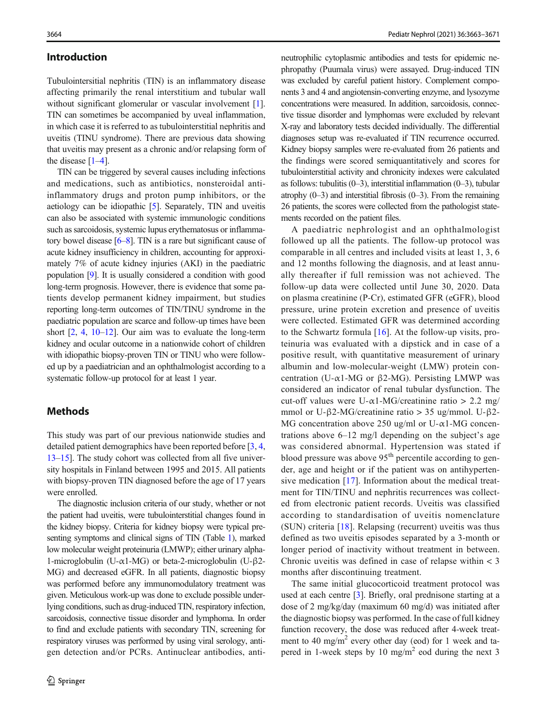#### Introduction

Tubulointersitial nephritis (TIN) is an inflammatory disease affecting primarily the renal interstitium and tubular wall without significant glomerular or vascular involvement [1]. TIN can sometimes be accompanied by uveal inflammation, in which case it is referred to as tubulointerstitial nephritis and uveitis (TINU syndrome). There are previous data showing that uveitis may present as a chronic and/or relapsing form of the disease  $[1-4]$ .

TIN can be triggered by several causes including infections and medications, such as antibiotics, nonsteroidal antiinflammatory drugs and proton pump inhibitors, or the aetiology can be idiopathic [5]. Separately, TIN and uveitis can also be associated with systemic immunologic conditions such as sarcoidosis, systemic lupus erythematosus or inflammatory bowel disease  $[6–8]$ . TIN is a rare but significant cause of acute kidney insufficiency in children, accounting for approximately 7% of acute kidney injuries (AKI) in the paediatric population [9]. It is usually considered a condition with good long-term prognosis. However, there is evidence that some patients develop permanent kidney impairment, but studies reporting long-term outcomes of TIN/TINU syndrome in the paediatric population are scarce and follow-up times have been short  $[2, 4, 10-12]$ . Our aim was to evaluate the long-term kidney and ocular outcome in a nationwide cohort of children with idiopathic biopsy-proven TIN or TINU who were followed up by a paediatrician and an ophthalmologist according to a systematic follow-up protocol for at least 1 year.

## **Methods**

This study was part of our previous nationwide studies and detailed patient demographics have been reported before [3, 4, 13–15]. The study cohort was collected from all five university hospitals in Finland between 1995 and 2015. All patients with biopsy-proven TIN diagnosed before the age of 17 years were enrolled.

The diagnostic inclusion criteria of our study, whether or not the patient had uveitis, were tubulointerstitial changes found in the kidney biopsy. Criteria for kidney biopsy were typical presenting symptoms and clinical signs of TIN (Table 1), marked low molecular weight proteinuria (LMWP); either urinary alpha-1-microglobulin (U-α1-MG) or beta-2-microglobulin (U-β2- MG) and decreased eGFR. In all patients, diagnostic biopsy was performed before any immunomodulatory treatment was given. Meticulous work-up was done to exclude possible underlying conditions, such as drug-induced TIN, respiratory infection, sarcoidosis, connective tissue disorder and lymphoma. In order to find and exclude patients with secondary TIN, screening for respiratory viruses was performed by using viral serology, antigen detection and/or PCRs. Antinuclear antibodies, antineutrophilic cytoplasmic antibodies and tests for epidemic nephropathy (Puumala virus) were assayed. Drug-induced TIN was excluded by careful patient history. Complement components 3 and 4 and angiotensin-converting enzyme, and lysozyme concentrations were measured. In addition, sarcoidosis, connective tissue disorder and lymphomas were excluded by relevant X-ray and laboratory tests decided individually. The differential diagnoses setup was re-evaluated if TIN recurrence occurred. Kidney biopsy samples were re-evaluated from 26 patients and the findings were scored semiquantitatively and scores for tubulointerstitial activity and chronicity indexes were calculated as follows: tubulitis (0–3), interstitial inflammation (0–3), tubular atrophy  $(0-3)$  and interstitial fibrosis  $(0-3)$ . From the remaining 26 patients, the scores were collected from the pathologist statements recorded on the patient files.

A paediatric nephrologist and an ophthalmologist followed up all the patients. The follow-up protocol was comparable in all centres and included visits at least 1, 3, 6 and 12 months following the diagnosis, and at least annually thereafter if full remission was not achieved. The follow-up data were collected until June 30, 2020. Data on plasma creatinine (P-Cr), estimated GFR (eGFR), blood pressure, urine protein excretion and presence of uveitis were collected. Estimated GFR was determined according to the Schwartz formula  $[16]$ . At the follow-up visits, proteinuria was evaluated with a dipstick and in case of a positive result, with quantitative measurement of urinary albumin and low-molecular-weight (LMW) protein concentration (U-α1-MG or β2-MG). Persisting LMWP was considered an indicator of renal tubular dysfunction. The cut-off values were U- $\alpha$ 1-MG/creatinine ratio > 2.2 mg/ mmol or U-β2-MG/creatinine ratio > 35 ug/mmol. U-β2- MG concentration above 250 ug/ml or U- $\alpha$ 1-MG concentrations above 6–12 mg/l depending on the subject's age was considered abnormal. Hypertension was stated if blood pressure was above  $95<sup>th</sup>$  percentile according to gender, age and height or if the patient was on antihypertensive medication [17]. Information about the medical treatment for TIN/TINU and nephritis recurrences was collected from electronic patient records. Uveitis was classified according to standardisation of uveitis nomenclature (SUN) criteria [18]. Relapsing (recurrent) uveitis was thus defined as two uveitis episodes separated by a 3-month or longer period of inactivity without treatment in between. Chronic uveitis was defined in case of relapse within < 3 months after discontinuing treatment.

The same initial glucocorticoid treatment protocol was used at each centre [3]. Briefly, oral prednisone starting at a dose of 2 mg/kg/day (maximum 60 mg/d) was initiated after the diagnostic biopsy was performed. In the case of full kidney function recovery, the dose was reduced after 4-week treatment to 40 mg/m<sup>2</sup> every other day (eod) for 1 week and tapered in 1-week steps by 10 mg/m<sup>2</sup> eod during the next 3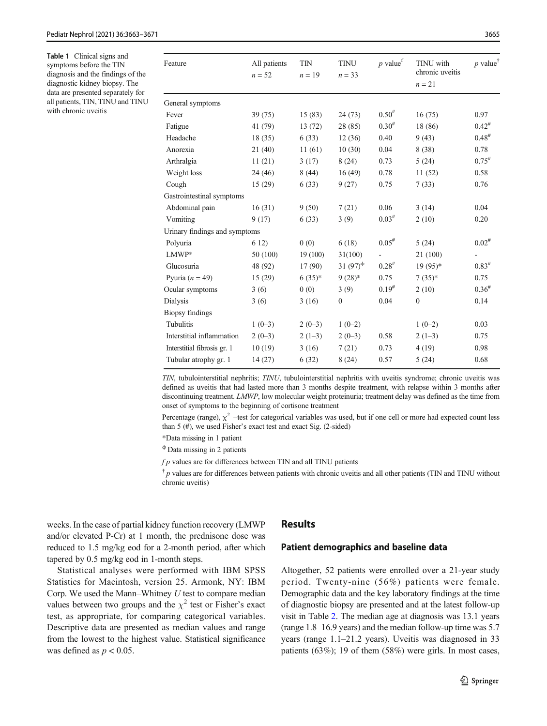Table 1 Clinical signs and symptoms before the TIN diagnosis and the findings of the diagnostic kidney biopsy. The data are presented separately for all patients, TIN, TINU and TINU with chronic uveitis

| Feature                       | All patients<br>$n = 52$ | <b>TIN</b><br>$n = 19$ | <b>TINU</b><br>$n = 33$ | $p$ value <sup>f</sup> | TINU with<br>chronic uveitis | p value <sup>†</sup> |
|-------------------------------|--------------------------|------------------------|-------------------------|------------------------|------------------------------|----------------------|
|                               |                          |                        |                         |                        | $n = 21$                     |                      |
| General symptoms              |                          |                        |                         |                        |                              |                      |
| Fever                         | 39 (75)                  | 15(83)                 | 24(73)                  | $0.50^{#}$             | 16(75)                       | 0.97                 |
| Fatigue                       | 41 (79)                  | 13(72)                 | 28 (85)                 | $0.30^{#}$             | 18 (86)                      | $0.42$ <sup>#</sup>  |
| Headache                      | 18(35)                   | 6(33)                  | 12(36)                  | 0.40                   | 9(43)                        | $0.48^{#}$           |
| Anorexia                      | 21(40)                   | 11(61)                 | 10(30)                  | 0.04                   | 8(38)                        | 0.78                 |
| Arthralgia                    | 11(21)                   | 3(17)                  | 8(24)                   | 0.73                   | 5(24)                        | $0.75^{#}$           |
| Weight loss                   | 24(46)                   | 8(44)                  | 16(49)                  | 0.78                   | 11(52)                       | 0.58                 |
| Cough                         | 15(29)                   | 6(33)                  | 9(27)                   | 0.75                   | 7(33)                        | 0.76                 |
| Gastrointestinal symptoms     |                          |                        |                         |                        |                              |                      |
| Abdominal pain                | 16(31)                   | 9(50)                  | 7(21)                   | 0.06                   | 3(14)                        | 0.04                 |
| Vomiting                      | 9(17)                    | 6(33)                  | 3(9)                    | $0.03^{\#}$            | 2(10)                        | 0.20                 |
| Urinary findings and symptoms |                          |                        |                         |                        |                              |                      |
| Polyuria                      | 6 12)                    | 0(0)                   | 6(18)                   | $0.05^{#}$             | 5(24)                        | $0.02$ <sup>#</sup>  |
| $LMWP*$                       | 50 (100)                 | 19(100)                | 31(100)                 |                        | 21 (100)                     |                      |
| Glucosuria                    | 48 (92)                  | 17(90)                 | 31 $(97)^{\Phi}$        | $0.28^{#}$             | $19(95)*$                    | $0.83^{#}$           |
| Pyuria $(n = 49)$             | 15(29)                   | $6(35)*$               | $9(28)*$                | 0.75                   | $7(35)*$                     | 0.75                 |
| Ocular symptoms               | 3(6)                     | 0(0)                   | 3(9)                    | $0.19^{#}$             | 2(10)                        | $0.36^{*}$           |
| Dialysis                      | 3(6)                     | 3(16)                  | $\mathbf{0}$            | 0.04                   | $\mathbf{0}$                 | 0.14                 |
| <b>Biopsy findings</b>        |                          |                        |                         |                        |                              |                      |
| Tubulitis                     | $1(0-3)$                 | $2(0-3)$               | $1(0-2)$                |                        | $1(0-2)$                     | 0.03                 |
| Interstitial inflammation     | $2(0-3)$                 | $2(1-3)$               | $2(0-3)$                | 0.58                   | $2(1-3)$                     | 0.75                 |
| Interstitial fibrosis gr. 1   | 10(19)                   | 3(16)                  | 7(21)                   | 0.73                   | 4(19)                        | 0.98                 |
| Tubular atrophy gr. 1         | 14(27)                   | 6(32)                  | 8(24)                   | 0.57                   | 5(24)                        | 0.68                 |
|                               |                          |                        |                         |                        |                              |                      |

TIN, tubulointerstitial nephritis; TINU, tubulointerstitial nephritis with uveitis syndrome; chronic uveitis was defined as uveitis that had lasted more than 3 months despite treatment, with relapse within 3 months after discontinuing treatment. LMWP, low molecular weight proteinuria; treatment delay was defined as the time from onset of symptoms to the beginning of cortisone treatment

Percentage (range),  $\chi^2$  –test for categorical variables was used, but if one cell or more had expected count less than 5 (#), we used Fisher's exact test and exact Sig. (2-sided)

\*Data missing in 1 patient

<sup>ϕ</sup> Data missing in 2 patients

 $fp$  values are for differences between TIN and all TINU patients

 $\dagger$  p values are for differences between patients with chronic uveitis and all other patients (TIN and TINU without chronic uveitis)

weeks. In the case of partial kidney function recovery (LMWP and/or elevated P-Cr) at 1 month, the prednisone dose was reduced to 1.5 mg/kg eod for a 2-month period, after which tapered by 0.5 mg/kg eod in 1-month steps.

Statistical analyses were performed with IBM SPSS Statistics for Macintosh, version 25. Armonk, NY: IBM Corp. We used the Mann–Whitney  $U$  test to compare median values between two groups and the  $\chi^2$  test or Fisher's exact test, as appropriate, for comparing categorical variables. Descriptive data are presented as median values and range from the lowest to the highest value. Statistical significance was defined as  $p < 0.05$ .

#### Results

#### Patient demographics and baseline data

Altogether, 52 patients were enrolled over a 21-year study period. Twenty-nine (56%) patients were female. Demographic data and the key laboratory findings at the time of diagnostic biopsy are presented and at the latest follow-up visit in Table 2. The median age at diagnosis was 13.1 years (range 1.8–16.9 years) and the median follow-up time was 5.7 years (range 1.1–21.2 years). Uveitis was diagnosed in 33 patients (63%); 19 of them (58%) were girls. In most cases,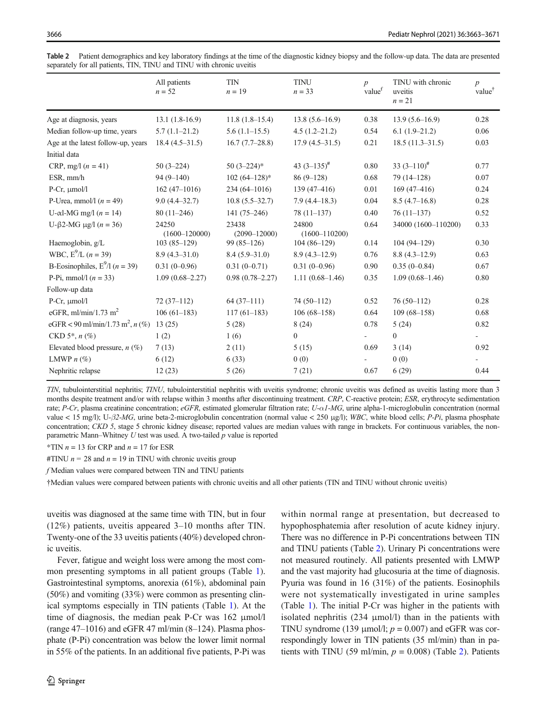|                                                | All patients<br>$n = 52$   | <b>TIN</b><br>$n = 19$    | <b>TINU</b><br>$n = 33$    | $\boldsymbol{p}$<br>value <sup>f</sup> | TINU with chronic<br>uveitis<br>$n = 21$ | $\boldsymbol{p}$<br>value <sup>†</sup> |
|------------------------------------------------|----------------------------|---------------------------|----------------------------|----------------------------------------|------------------------------------------|----------------------------------------|
| Age at diagnosis, years                        | $13.1(1.8-16.9)$           | $11.8(1.8-15.4)$          | $13.8(5.6 - 16.9)$         | 0.38                                   | $13.9(5.6 - 16.9)$                       | 0.28                                   |
| Median follow-up time, years                   | $5.7(1.1-21.2)$            | $5.6(1.1-15.5)$           | $4.5(1.2 - 21.2)$          | 0.54                                   | $6.1(1.9-21.2)$                          | 0.06                                   |
| Age at the latest follow-up, years             | $18.4(4.5-31.5)$           | $16.7(7.7-28.8)$          | $17.9(4.5-31.5)$           | 0.21                                   | $18.5(11.3-31.5)$                        | 0.03                                   |
| Initial data                                   |                            |                           |                            |                                        |                                          |                                        |
| CRP, mg/l $(n = 41)$                           | $50(3-224)$                | $50(3-224)*$              | 43 $(3-135)^{#}$           | 0.80                                   | 33 $(3-110)^{\#}$                        | 0.77                                   |
| ESR, mm/h                                      | $94(9 - 140)$              | $102(64-128)$ *           | $86(9-128)$                | 0.68                                   | 79 (14-128)                              | 0.07                                   |
| P-Cr, $\mu$ mol/l                              | $162(47-1016)$             | $234(64 - 1016)$          | $139(47 - 416)$            | 0.01                                   | $169(47 - 416)$                          | 0.24                                   |
| P-Urea, mmol/l $(n = 49)$                      | $9.0(4.4 - 32.7)$          | $10.8(5.5-32.7)$          | $7.9(4.4-18.3)$            | 0.04                                   | $8.5(4.7-16.8)$                          | 0.28                                   |
| U- $\alpha$ l-MG mg/l (n = 14)                 | $80(11-246)$               | $141(75-246)$             | $78(11-137)$               | 0.40                                   | $76(11-137)$                             | 0.52                                   |
| U- $\beta$ 2-MG $\mu$ g/l ( <i>n</i> = 36)     | 24250<br>$(1600 - 120000)$ | 23438<br>$(2090 - 12000)$ | 24800<br>$(1600 - 110200)$ | 0.64                                   | 34000 (1600-110200)                      | 0.33                                   |
| Haemoglobin, g/L                               | $103(85-129)$              | $99(85-126)$              | $104(86-129)$              | 0.14                                   | $104(94-129)$                            | 0.30                                   |
| WBC, $E^9/L$ ( <i>n</i> = 39)                  | $8.9(4.3 - 31.0)$          | $8.4(5.9-31.0)$           | $8.9(4.3-12.9)$            | 0.76                                   | $8.8(4.3-12.9)$                          | 0.63                                   |
| B-Eosinophiles, $E^9/1$ ( <i>n</i> = 39)       | $0.31(0-0.96)$             | $0.31(0-0.71)$            | $0.31(0-0.96)$             | 0.90                                   | $0.35(0-0.84)$                           | 0.67                                   |
| P-Pi, mmol/l $(n = 33)$                        | $1.09(0.68 - 2.27)$        | $0.98(0.78 - 2.27)$       | $1.11(0.68-1.46)$          | 0.35                                   | $1.09(0.68 - 1.46)$                      | 0.80                                   |
| Follow-up data                                 |                            |                           |                            |                                        |                                          |                                        |
| P-Cr, $\mu$ mol/l                              | $72(37-112)$               | $64(37-111)$              | $74(50-112)$               | 0.52                                   | $76(50-112)$                             | 0.28                                   |
| eGFR, ml/min/1.73 m <sup>2</sup>               | $106(61-183)$              | $117(61-183)$             | $106(68-158)$              | 0.64                                   | $109(68-158)$                            | 0.68                                   |
| eGFR < 90 ml/min/1.73 m <sup>2</sup> , $n$ (%) | 13(25)                     | 5(28)                     | 8(24)                      | 0.78                                   | 5(24)                                    | 0.82                                   |
| $CKD 5^*$ , $n$ (%)                            | 1(2)                       | 1(6)                      | $\mathbf{0}$               | $\sim 100$                             | $\mathbf{0}$                             | $\overline{\phantom{a}}$               |
| Elevated blood pressure, $n$ (%)               | 7(13)                      | 2(11)                     | 5(15)                      | 0.69                                   | 3(14)                                    | 0.92                                   |
| LMWP $n$ (%)                                   | 6(12)                      | 6(33)                     | 0(0)                       | $\sim$                                 | 0(0)                                     |                                        |
| Nephritic relapse                              | 12(23)                     | 5(26)                     | 7(21)                      | 0.67                                   | 6(29)                                    | 0.44                                   |
|                                                |                            |                           |                            |                                        |                                          |                                        |

Table 2 Patient demographics and key laboratory findings at the time of the diagnostic kidney biopsy and the follow-up data. The data are presented separately for all patients, TIN, TINU and TINU with chronic uveitis

TIN, tubulointerstitial nephritis; TINU, tubulointerstitial nephritis with uveitis syndrome; chronic uveitis was defined as uveitis lasting more than 3 months despite treatment and/or with relapse within 3 months after discontinuing treatment. CRP, C-reactive protein; ESR, erythrocyte sedimentation rate; P-Cr, plasma creatinine concentration; eGFR, estimated glomerular filtration rate; U-α1-MG, urine alpha-1-microglobulin concentration (normal value < 15 mg/l); U-β2-MG, urine beta-2-microglobulin concentration (normal value < 250 μg/l); WBC, white blood cells; P-Pi, plasma phosphate concentration; CKD 5, stage 5 chronic kidney disease; reported values are median values with range in brackets. For continuous variables, the nonparametric Mann–Whitney  $U$  test was used. A two-tailed  $p$  value is reported

\*TIN  $n = 13$  for CRP and  $n = 17$  for ESR

#TINU  $n = 28$  and  $n = 19$  in TINU with chronic uveitis group

f Median values were compared between TIN and TINU patients

†Median values were compared between patients with chronic uveitis and all other patients (TIN and TINU without chronic uveitis)

uveitis was diagnosed at the same time with TIN, but in four (12%) patients, uveitis appeared 3–10 months after TIN. Twenty-one of the 33 uveitis patients (40%) developed chronic uveitis.

Fever, fatigue and weight loss were among the most common presenting symptoms in all patient groups (Table 1). Gastrointestinal symptoms, anorexia (61%), abdominal pain (50%) and vomiting (33%) were common as presenting clinical symptoms especially in TIN patients (Table 1). At the time of diagnosis, the median peak P-Cr was 162 μmol/l (range  $47-1016$ ) and eGFR  $47$  ml/min  $(8-124)$ . Plasma phosphate (P-Pi) concentration was below the lower limit normal in 55% of the patients. In an additional five patients, P-Pi was

within normal range at presentation, but decreased to hypophosphatemia after resolution of acute kidney injury. There was no difference in P-Pi concentrations between TIN and TINU patients (Table 2). Urinary Pi concentrations were not measured routinely. All patients presented with LMWP and the vast majority had glucosuria at the time of diagnosis. Pyuria was found in 16 (31%) of the patients. Eosinophils were not systematically investigated in urine samples (Table 1). The initial P-Cr was higher in the patients with isolated nephritis  $(234 \mu \text{mol/l})$  than in the patients with TINU syndrome (139  $\mu$ mol/l;  $p = 0.007$ ) and eGFR was correspondingly lower in TIN patients (35 ml/min) than in patients with TINU (59 ml/min,  $p = 0.008$ ) (Table 2). Patients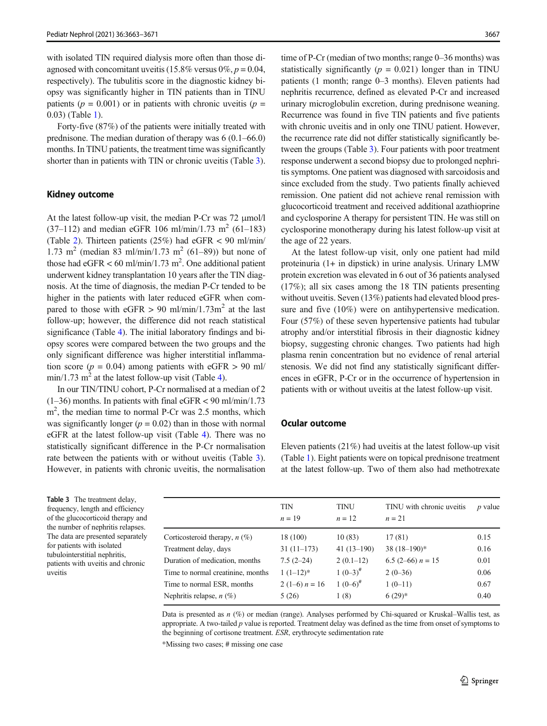with isolated TIN required dialysis more often than those diagnosed with concomitant uveitis (15.8% versus  $0\%, p = 0.04$ , respectively). The tubulitis score in the diagnostic kidney biopsy was significantly higher in TIN patients than in TINU patients ( $p = 0.001$ ) or in patients with chronic uveitis ( $p =$ 0.03) (Table 1).

Forty-five (87%) of the patients were initially treated with prednisone. The median duration of therapy was 6 (0.1–66.0) months. In TINU patients, the treatment time was significantly shorter than in patients with TIN or chronic uveitis (Table 3).

#### Kidney outcome

At the latest follow-up visit, the median P-Cr was 72 μmol/l  $(37-112)$  and median eGFR 106 ml/min/1.73 m<sup>2</sup> (61-183) (Table 2). Thirteen patients (25%) had eGFR < 90 ml/min/ 1.73 m<sup>2</sup> (median 83 ml/min/1.73 m<sup>2</sup> (61–89)) but none of those had eGFR < 60 ml/min/1.73 m<sup>2</sup>. One additional patient underwent kidney transplantation 10 years after the TIN diagnosis. At the time of diagnosis, the median P-Cr tended to be higher in the patients with later reduced eGFR when compared to those with eGFR  $> 90$  ml/min/1.73m<sup>2</sup> at the last follow-up; however, the difference did not reach statistical significance (Table 4). The initial laboratory findings and biopsy scores were compared between the two groups and the only significant difference was higher interstitial inflammation score ( $p = 0.04$ ) among patients with eGFR > 90 ml/  $min/1.73$  m<sup>2</sup> at the latest follow-up visit (Table 4).

In our TIN/TINU cohort, P-Cr normalised at a median of 2  $(1–36)$  months. In patients with final eGFR < 90 ml/min/1.73 m<sup>2</sup>, the median time to normal P-Cr was 2.5 months, which was significantly longer  $(p = 0.02)$  than in those with normal eGFR at the latest follow-up visit (Table 4). There was no statistically significant difference in the P-Cr normalisation rate between the patients with or without uveitis (Table 3). However, in patients with chronic uveitis, the normalisation

time of P-Cr (median of two months; range 0–36 months) was statistically significantly ( $p = 0.021$ ) longer than in TINU patients (1 month; range 0–3 months). Eleven patients had nephritis recurrence, defined as elevated P-Cr and increased urinary microglobulin excretion, during prednisone weaning. Recurrence was found in five TIN patients and five patients with chronic uveitis and in only one TINU patient. However, the recurrence rate did not differ statistically significantly between the groups (Table 3). Four patients with poor treatment response underwent a second biopsy due to prolonged nephritis symptoms. One patient was diagnosed with sarcoidosis and since excluded from the study. Two patients finally achieved remission. One patient did not achieve renal remission with glucocorticoid treatment and received additional azathioprine and cyclosporine A therapy for persistent TIN. He was still on cyclosporine monotherapy during his latest follow-up visit at the age of 22 years.

At the latest follow-up visit, only one patient had mild proteinuria (1+ in dipstick) in urine analysis. Urinary LMW protein excretion was elevated in 6 out of 36 patients analysed (17%); all six cases among the 18 TIN patients presenting without uveitis. Seven (13%) patients had elevated blood pressure and five (10%) were on antihypertensive medication. Four (57%) of these seven hypertensive patients had tubular atrophy and/or interstitial fibrosis in their diagnostic kidney biopsy, suggesting chronic changes. Two patients had high plasma renin concentration but no evidence of renal arterial stenosis. We did not find any statistically significant differences in eGFR, P-Cr or in the occurrence of hypertension in patients with or without uveitis at the latest follow-up visit.

#### Ocular outcome

Eleven patients  $(21\%)$  had uveitis at the latest follow-up visit (Table 1). Eight patients were on topical prednisone treatment at the latest follow-up. Two of them also had methotrexate

Table 3 The treatment delay, frequency, length and efficiency of the glucocorticoid therapy and the number of nephritis relapses. The data are presented separately for patients with isolated tubulointerstitial nephritis, patients with uveitis and chronic uveitis

| <b>TIN</b><br>$n = 19$ | <b>TINU</b><br>$n=12$ | TINU with chronic uveitis<br>$n = 21$ | <i>p</i> value |
|------------------------|-----------------------|---------------------------------------|----------------|
| 18 (100)               | 10(83)                | 17(81)                                | 0.15           |
| $31(11-173)$           | $41(13-190)$          | $38(18-190)$ *                        | 0.16           |
| $7.5(2-24)$            | $2(0.1-12)$           | 6.5 (2–66) $n = 15$                   | 0.01           |
| $1(1-12)*$             | $1(0-3)^{#}$          | $2(0-36)$                             | 0.06           |
| $2(1-6) n = 16$        | $1(0-6)^{#}$          | $1(0-11)$                             | 0.67           |
| 5(26)                  | 1(8)                  | $6(29)*$                              | 0.40           |
|                        |                       |                                       |                |

Data is presented as  $n$  (%) or median (range). Analyses performed by Chi-squared or Kruskal–Wallis test, as appropriate. A two-tailed  $p$  value is reported. Treatment delay was defined as the time from onset of symptoms to the beginning of cortisone treatment. ESR, erythrocyte sedimentation rate

\*Missing two cases; # missing one case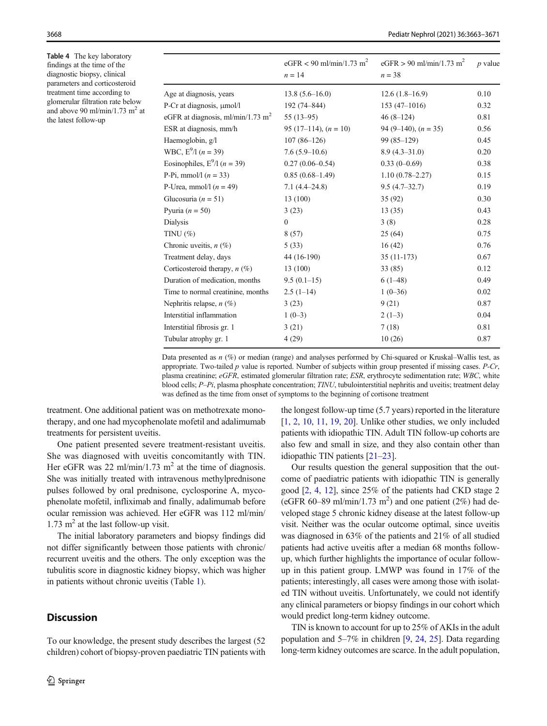Table 4 The key laboratory findings at the time of the diagnostic biopsy, clinical parameters and corticosteroid treatment time according to glomerular filtration rate below and above 90 ml/min/1.73 m<sup>2</sup> at the latest follow-up

|                                               | eGFR < 90 ml/min/1.73 m <sup>2</sup><br>$n = 14$ | eGFR > 90 ml/min/1.73 m <sup>2</sup><br>$n = 38$ | $p$ value |
|-----------------------------------------------|--------------------------------------------------|--------------------------------------------------|-----------|
| Age at diagnosis, years                       | $13.8(5.6-16.0)$                                 | $12.6(1.8-16.9)$                                 | 0.10      |
| P-Cr at diagnosis, µmol/l                     | 192 (74-844)                                     | $153(47-1016)$                                   | 0.32      |
| eGFR at diagnosis, ml/min/1.73 m <sup>2</sup> | $55(13-95)$                                      | $46(8-124)$                                      | 0.81      |
| ESR at diagnosis, mm/h                        | 95 (17–114), $(n = 10)$                          | 94 (9–140), $(n = 35)$                           | 0.56      |
| Haemoglobin, g/l                              | $107(86-126)$                                    | $99(85-129)$                                     | 0.45      |
| WBC, $E^9/1$ ( <i>n</i> = 39)                 | $7.6(5.9-10.6)$                                  | $8.9(4.3 - 31.0)$                                | 0.20      |
| Eosinophiles, $E^9/1$ ( <i>n</i> = 39)        | $0.27(0.06 - 0.54)$                              | $0.33(0-0.69)$                                   | 0.38      |
| P-Pi, mmol/l $(n = 33)$                       | $0.85(0.68-1.49)$                                | $1.10(0.78 - 2.27)$                              | 0.15      |
| P-Urea, mmol/l $(n = 49)$                     | $7.1(4.4 - 24.8)$                                | $9.5(4.7-32.7)$                                  | 0.19      |
| Glucosuria ( $n = 51$ )                       | 13 (100)                                         | 35(92)                                           | 0.30      |
| Pyuria ( $n = 50$ )                           | 3(23)                                            | 13(35)                                           | 0.43      |
| Dialysis                                      | $\theta$                                         | 3(8)                                             | 0.28      |
| TINU $(\%)$                                   | 8(57)                                            | 25(64)                                           | 0.75      |
| Chronic uveitis, $n$ (%)                      | 5(33)                                            | 16(42)                                           | 0.76      |
| Treatment delay, days                         | 44 (16-190)                                      | $35(11-173)$                                     | 0.67      |
| Corticosteroid therapy, $n$ (%)               | 13(100)                                          | 33(85)                                           | 0.12      |
| Duration of medication, months                | $9.5(0.1-15)$                                    | $6(1-48)$                                        | 0.49      |
| Time to normal creatinine, months             | $2.5(1-14)$                                      | $1(0-36)$                                        | 0.02      |
| Nephritis relapse, $n$ (%)                    | 3(23)                                            | 9(21)                                            | 0.87      |
| Interstitial inflammation                     | $1(0-3)$                                         | $2(1-3)$                                         | 0.04      |
| Interstitial fibrosis gr. 1                   | 3(21)                                            | 7(18)                                            | 0.81      |
| Tubular atrophy gr. 1                         | 4(29)                                            | 10(26)                                           | 0.87      |
|                                               |                                                  |                                                  |           |

Data presented as  $n$  (%) or median (range) and analyses performed by Chi-squared or Kruskal–Wallis test, as appropriate. Two-tailed  $p$  value is reported. Number of subjects within group presented if missing cases.  $P-Cr$ , plasma creatinine; eGFR, estimated glomerular filtration rate; ESR, erythrocyte sedimentation rate; WBC, white blood cells; P–Pi, plasma phosphate concentration; TINU, tubulointerstitial nephritis and uveitis; treatment delay was defined as the time from onset of symptoms to the beginning of cortisone treatment

treatment. One additional patient was on methotrexate monotherapy, and one had mycophenolate mofetil and adalimumab treatments for persistent uveitis.

One patient presented severe treatment-resistant uveitis. She was diagnosed with uveitis concomitantly with TIN. Her eGFR was 22 ml/min/1.73 m<sup>2</sup> at the time of diagnosis. She was initially treated with intravenous methylprednisone pulses followed by oral prednisone, cyclosporine A, mycophenolate mofetil, infliximab and finally, adalimumab before ocular remission was achieved. Her eGFR was 112 ml/min/ 1.73  $m<sup>2</sup>$  at the last follow-up visit.

The initial laboratory parameters and biopsy findings did not differ significantly between those patients with chronic/ recurrent uveitis and the others. The only exception was the tubulitis score in diagnostic kidney biopsy, which was higher in patients without chronic uveitis (Table 1).

## **Discussion**

To our knowledge, the present study describes the largest (52 children) cohort of biopsy-proven paediatric TIN patients with

the longest follow-up time (5.7 years) reported in the literature [1, 2, 10, 11, 19, 20]. Unlike other studies, we only included patients with idiopathic TIN. Adult TIN follow-up cohorts are also few and small in size, and they also contain other than idiopathic TIN patients [21–23].

Our results question the general supposition that the outcome of paediatric patients with idiopathic TIN is generally good [2, 4, 12], since 25% of the patients had CKD stage 2 (eGFR 60-89 ml/min/1.73 m<sup>2</sup>) and one patient (2%) had developed stage 5 chronic kidney disease at the latest follow-up visit. Neither was the ocular outcome optimal, since uveitis was diagnosed in 63% of the patients and 21% of all studied patients had active uveitis after a median 68 months followup, which further highlights the importance of ocular followup in this patient group. LMWP was found in 17% of the patients; interestingly, all cases were among those with isolated TIN without uveitis. Unfortunately, we could not identify any clinical parameters or biopsy findings in our cohort which would predict long-term kidney outcome.

TIN is known to account for up to 25% of AKIs in the adult population and 5–7% in children [9, 24, 25]. Data regarding long-term kidney outcomes are scarce. In the adult population,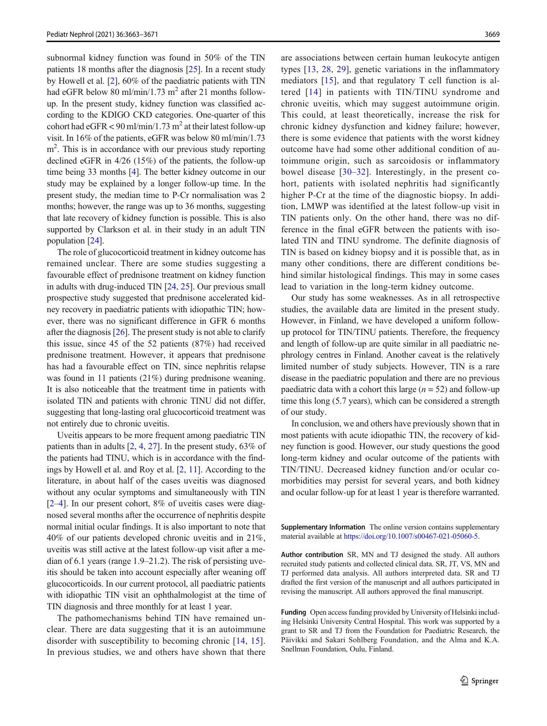subnormal kidney function was found in 50% of the TIN patients 18 months after the diagnosis [25]. In a recent study by Howell et al. [2], 60% of the paediatric patients with TIN had eGFR below 80 ml/min/1.73 m<sup>2</sup> after 21 months followup. In the present study, kidney function was classified according to the KDIGO CKD categories. One-quarter of this cohort had  $eGFR < 90$  ml/min/1.73 m<sup>2</sup> at their latest follow-up visit. In 16% of the patients, eGFR was below 80 ml/min/1.73 m<sup>2</sup>. This is in accordance with our previous study reporting declined eGFR in 4/26 (15%) of the patients, the follow-up time being 33 months [4]. The better kidney outcome in our study may be explained by a longer follow-up time. In the present study, the median time to P-Cr normalisation was 2 months; however, the range was up to 36 months, suggesting that late recovery of kidney function is possible. This is also supported by Clarkson et al. in their study in an adult TIN population [24].

The role of glucocorticoid treatment in kidney outcome has remained unclear. There are some studies suggesting a favourable effect of prednisone treatment on kidney function in adults with drug-induced TIN [24, 25]. Our previous small prospective study suggested that prednisone accelerated kidney recovery in paediatric patients with idiopathic TIN; however, there was no significant difference in GFR 6 months after the diagnosis [26]. The present study is not able to clarify this issue, since 45 of the 52 patients (87%) had received prednisone treatment. However, it appears that prednisone has had a favourable effect on TIN, since nephritis relapse was found in 11 patients (21%) during prednisone weaning. It is also noticeable that the treatment time in patients with isolated TIN and patients with chronic TINU did not differ, suggesting that long-lasting oral glucocorticoid treatment was not entirely due to chronic uveitis.

Uveitis appears to be more frequent among paediatric TIN patients than in adults [2, 4, 27]. In the present study, 63% of the patients had TINU, which is in accordance with the findings by Howell et al. and Roy et al. [2, 11]. According to the literature, in about half of the cases uveitis was diagnosed without any ocular symptoms and simultaneously with TIN [2–4]. In our present cohort, 8% of uveitis cases were diagnosed several months after the occurrence of nephritis despite normal initial ocular findings. It is also important to note that 40% of our patients developed chronic uveitis and in 21%, uveitis was still active at the latest follow-up visit after a median of 6.1 years (range 1.9–21.2). The risk of persisting uveitis should be taken into account especially after weaning off glucocorticoids. In our current protocol, all paediatric patients with idiopathic TIN visit an ophthalmologist at the time of TIN diagnosis and three monthly for at least 1 year.

The pathomechanisms behind TIN have remained unclear. There are data suggesting that it is an autoimmune disorder with susceptibility to becoming chronic [14, 15]. In previous studies, we and others have shown that there are associations between certain human leukocyte antigen types [13, 28, 29], genetic variations in the inflammatory mediators [15], and that regulatory T cell function is altered [14] in patients with TIN/TINU syndrome and chronic uveitis, which may suggest autoimmune origin. This could, at least theoretically, increase the risk for chronic kidney dysfunction and kidney failure; however, there is some evidence that patients with the worst kidney outcome have had some other additional condition of autoimmune origin, such as sarcoidosis or inflammatory bowel disease [30–32]. Interestingly, in the present cohort, patients with isolated nephritis had significantly higher P-Cr at the time of the diagnostic biopsy. In addition, LMWP was identified at the latest follow-up visit in TIN patients only. On the other hand, there was no difference in the final eGFR between the patients with isolated TIN and TINU syndrome. The definite diagnosis of TIN is based on kidney biopsy and it is possible that, as in many other conditions, there are different conditions behind similar histological findings. This may in some cases lead to variation in the long-term kidney outcome.

Our study has some weaknesses. As in all retrospective studies, the available data are limited in the present study. However, in Finland, we have developed a uniform followup protocol for TIN/TINU patients. Therefore, the frequency and length of follow-up are quite similar in all paediatric nephrology centres in Finland. Another caveat is the relatively limited number of study subjects. However, TIN is a rare disease in the paediatric population and there are no previous paediatric data with a cohort this large  $(n = 52)$  and follow-up time this long (5.7 years), which can be considered a strength of our study.

In conclusion, we and others have previously shown that in most patients with acute idiopathic TIN, the recovery of kidney function is good. However, our study questions the good long-term kidney and ocular outcome of the patients with TIN/TINU. Decreased kidney function and/or ocular comorbidities may persist for several years, and both kidney and ocular follow-up for at least 1 year is therefore warranted.

Supplementary Information The online version contains supplementary material available at [https://doi.org/10.1007/s00467-021-05060-5.](https://doi.org/10.1007/s00467-021-05060-5)

Author contribution SR, MN and TJ designed the study. All authors recruited study patients and collected clinical data. SR, JT, VS, MN and TJ performed data analysis. All authors interpreted data. SR and TJ drafted the first version of the manuscript and all authors participated in revising the manuscript. All authors approved the final manuscript.

Funding Open access funding provided by University of Helsinki including Helsinki University Central Hospital. This work was supported by a grant to SR and TJ from the Foundation for Paediatric Research, the Päivikki and Sakari Sohlberg Foundation, and the Alma and K.A. Snellman Foundation, Oulu, Finland.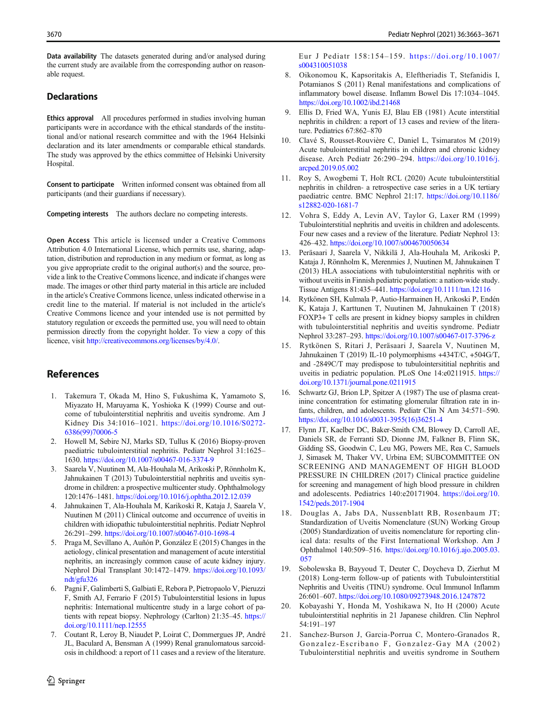Data availability The datasets generated during and/or analysed during the current study are available from the corresponding author on reasonable request.

#### **Declarations**

Ethics approval All procedures performed in studies involving human participants were in accordance with the ethical standards of the institutional and/or national research committee and with the 1964 Helsinki declaration and its later amendments or comparable ethical standards. The study was approved by the ethics committee of Helsinki University Hospital.

Consent to participate Written informed consent was obtained from all participants (and their guardians if necessary).

Competing interests The authors declare no competing interests.

Open Access This article is licensed under a Creative Commons Attribution 4.0 International License, which permits use, sharing, adaptation, distribution and reproduction in any medium or format, as long as you give appropriate credit to the original author(s) and the source, provide a link to the Creative Commons licence, and indicate if changes were made. The images or other third party material in this article are included in the article's Creative Commons licence, unless indicated otherwise in a credit line to the material. If material is not included in the article's Creative Commons licence and your intended use is not permitted by statutory regulation or exceeds the permitted use, you will need to obtain permission directly from the copyright holder. To view a copy of this licence, visit <http://creativecommons.org/licenses/by/4.0/>.

## References

- 1. Takemura T, Okada M, Hino S, Fukushima K, Yamamoto S, Miyazato H, Maruyama K, Yoshioka K (1999) Course and outcome of tubulointerstitial nephritis and uveitis syndrome. Am J Kidney Dis 34:1016–1021. [https://doi.org/10.1016/S0272-](https://doi.org/10.1016/S0272-6386(99)70006-5) [6386\(99\)70006-5](https://doi.org/10.1016/S0272-6386(99)70006-5)
- 2. Howell M, Sebire NJ, Marks SD, Tullus K (2016) Biopsy-proven paediatric tubulointerstitial nephritis. Pediatr Nephrol 31:1625– 1630. <https://doi.org/10.1007/s00467-016-3374-9>
- 3. Saarela V, Nuutinen M, Ala-Houhala M, Arikoski P, Rönnholm K, Jahnukainen T (2013) Tubulointerstitial nephritis and uveitis syndrome in children: a prospective multicenter study. Ophthalmology 120:1476–1481. <https://doi.org/10.1016/j.ophtha.2012.12.039>
- 4. Jahnukainen T, Ala-Houhala M, Karikoski R, Kataja J, Saarela V, Nuutinen M (2011) Clinical outcome and occurrence of uveitis in children with idiopathic tubulointerstitial nephritis. Pediatr Nephrol 26:291–299. <https://doi.org/10.1007/s00467-010-1698-4>
- 5. Praga M, Sevillano A, Auñón P, González E (2015) Changes in the aetiology, clinical presentation and management of acute interstitial nephritis, an increasingly common cause of acute kidney injury. Nephrol Dial Transplant 30:1472–1479. [https://doi.org/10.1093/](https://doi.org/10.1093/ndt/gfu326) [ndt/gfu326](https://doi.org/10.1093/ndt/gfu326)
- 6. Pagni F, Galimberti S, Galbiati E, Rebora P, Pietropaolo V, Pieruzzi F, Smith AJ, Ferrario F (2015) Tubulointerstitial lesions in lupus nephritis: International multicentre study in a large cohort of patients with repeat biopsy. Nephrology (Carlton) 21:35–45. [https://](https://doi.org/10.1111/nep.12555) [doi.org/10.1111/nep.12555](https://doi.org/10.1111/nep.12555)
- 7. Coutant R, Leroy B, Niaudet P, Loirat C, Dommergues JP, André JL, Baculard A, Bensman A (1999) Renal granulomatous sarcoidosis in childhood: a report of 11 cases and a review of the literature.

Eur J Pediatr 158:154–159. [https://doi.org/10.1007/](https://doi.org/10.1007/s004310051038) [s004310051038](https://doi.org/10.1007/s004310051038)

- 8. Oikonomou K, Kapsoritakis A, Eleftheriadis T, Stefanidis I, Potamianos S (2011) Renal manifestations and complications of inflammatory bowel disease. Inflamm Bowel Dis 17:1034–1045. <https://doi.org/10.1002/ibd.21468>
- 9. Ellis D, Fried WA, Yunis EJ, Blau EB (1981) Acute interstitial nephritis in children: a report of 13 cases and review of the literature. Pediatrics 67:862–870
- 10. Clavé S, Rousset-Rouvière C, Daniel L, Tsimaratos M (2019) Acute tubulointerstitial nephritis in children and chronic kidney disease. Arch Pediatr 26:290–294. [https://doi.org/10.1016/j.](https://doi.org/10.1016/j.arcped.2019.05.002) [arcped.2019.05.002](https://doi.org/10.1016/j.arcped.2019.05.002)
- 11. Roy S, Awogbemi T, Holt RCL (2020) Acute tubulointerstitial nephritis in children- a retrospective case series in a UK tertiary paediatric centre. BMC Nephrol 21:17. [https://doi.org/10.1186/](https://doi.org/10.1186/s12882-020-1681-7) [s12882-020-1681-7](https://doi.org/10.1186/s12882-020-1681-7)
- 12. Vohra S, Eddy A, Levin AV, Taylor G, Laxer RM (1999) Tubulointerstitial nephritis and uveitis in children and adolescents. Four new cases and a review of the literature. Pediatr Nephrol 13: 426–432. <https://doi.org/10.1007/s004670050634>
- 13. Peräsaari J, Saarela V, Nikkilä J, Ala-Houhala M, Arikoski P, Kataja J, Rönnholm K, Merenmies J, Nuutinen M, Jahnukainen T (2013) HLA associations with tubulointerstitial nephritis with or without uveitis in Finnish pediatric population: a nation-wide study. Tissue Antigens 81:435–441. <https://doi.org/10.1111/tan.12116>
- 14. Rytkönen SH, Kulmala P, Autio-Harmainen H, Arikoski P, Endén K, Kataja J, Karttunen T, Nuutinen M, Jahnukainen T (2018) FOXP3+ T cells are present in kidney biopsy samples in children with tubulointerstitial nephritis and uveitis syndrome. Pediatr Nephrol 33:287–293. <https://doi.org/10.1007/s00467-017-3796-z>
- 15. Rytkönen S, Ritari J, Peräsaari J, Saarela V, Nuutinen M, Jahnukainen T (2019) IL-10 polymorphisms +434T/C, +504G/T, and -2849C/T may predispose to tubulointersititial nephritis and uveitis in pediatric population. PLoS One 14:e0211915. [https://](https://doi.org/10.1371/journal.pone.0211915) [doi.org/10.1371/journal.pone.0211915](https://doi.org/10.1371/journal.pone.0211915)
- 16. Schwartz GJ, Brion LP, Spitzer A (1987) The use of plasma creatinine concentration for estimating glomerular filtration rate in infants, children, and adolescents. Pediatr Clin N Am 34:571–590. [https://doi.org/10.1016/s0031-3955\(16\)36251-4](https://doi.org/10.1016/s0031-3955(16)36251-4)
- 17. Flynn JT, Kaelber DC, Baker-Smith CM, Blowey D, Carroll AE, Daniels SR, de Ferranti SD, Dionne JM, Falkner B, Flinn SK, Gidding SS, Goodwin C, Leu MG, Powers ME, Rea C, Samuels J, Simasek M, Thaker VV, Urbina EM; SUBCOMMITTEE ON SCREENING AND MANAGEMENT OF HIGH BLOOD PRESSURE IN CHILDREN (2017) Clinical practice guideline for screening and management of high blood pressure in children and adolescents. Pediatrics 140:e20171904. [https://doi.org/10.](https://doi.org/10.1542/peds.2017-1904) [1542/peds.2017-1904](https://doi.org/10.1542/peds.2017-1904)
- 18. Douglas A, Jabs DA, Nussenblatt RB, Rosenbaum JT; Standardization of Uveitis Nomenclature (SUN) Working Group (2005) Standardization of uveitis nomenclature for reporting clinical data: results of the First International Workshop. Am J Ophthalmol 140:509–516. [https://doi.org/10.1016/j.ajo.2005.03.](https://doi.org/10.1016/j.ajo.2005.03.057) [057](https://doi.org/10.1016/j.ajo.2005.03.057)
- 19. Sobolewska B, Bayyoud T, Deuter C, Doycheva D, Zierhut M (2018) Long-term follow-up of patients with Tubulointerstitial Nephritis and Uveitis (TINU) syndrome. Ocul Immunol Inflamm 26:601–607. <https://doi.org/10.1080/09273948.2016.1247872>
- 20. Kobayashi Y, Honda M, Yoshikawa N, Ito H (2000) Acute tubulointerstitial nephritis in 21 Japanese children. Clin Nephrol 54:191–197
- 21. Sanchez-Burson J, Garcia-Porrua C, Montero-Granados R, Gonzalez-Escribano F, Gonzalez-Gay MA (2002) Tubulointerstitial nephritis and uveitis syndrome in Southern